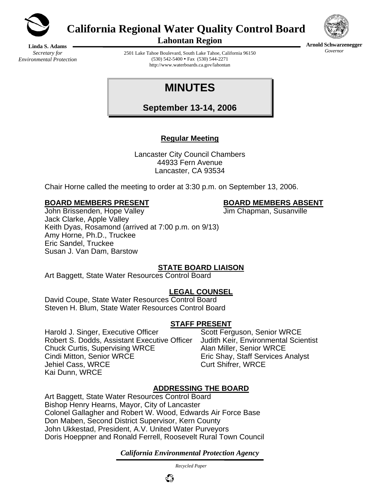

**California Regional Water Quality Control Board** 



**Arnold Schwarzenegger** *Governor* 

**Lahontan Region** 

**Linda S. Adams**  *Secretary for Environmental Protection* 

2501 Lake Tahoe Boulevard, South Lake Tahoe, California 96150  $(530)$  542-5400 • Fax  $(530)$  544-2271 http://www.waterboards.ca.gov/lahontan

# **MINUTES**

**September 13-14, 2006**

# **Regular Meeting**

Lancaster City Council Chambers 44933 Fern Avenue Lancaster, CA 93534

Chair Horne called the meeting to order at 3:30 p.m. on September 13, 2006.

#### **BOARD MEMBERS PRESENT BOARD MEMBERS ABSENT**

John Brissenden, Hope Valley **Jum Chapman, Susanville** Jack Clarke, Apple Valley Keith Dyas, Rosamond (arrived at 7:00 p.m. on 9/13) Amy Horne, Ph.D., Truckee Eric Sandel, Truckee Susan J. Van Dam, Barstow

# **STATE BOARD LIAISON**

Art Baggett, State Water Resources Control Board

# **LEGAL COUNSEL**

David Coupe, State Water Resources Control Board Steven H. Blum, State Water Resources Control Board

### **STAFF PRESENT**

Harold J. Singer, Executive Officer Scott Ferguson, Senior WRCE Robert S. Dodds, Assistant Executive Officer Judith Keir, Environmental Scientist<br>Chuck Curtis, Supervising WRCE Alan Miller, Senior WRCE Chuck Curtis, Supervising WRCE Cindi Mitton, Senior WRCE Eric Shay, Staff Services Analyst Jehiel Cass, WRCE Curt Shifrer, WRCE Kai Dunn, WRCE

# **ADDRESSING THE BOARD**

Art Baggett, State Water Resources Control Board Bishop Henry Hearns, Mayor, City of Lancaster Colonel Gallagher and Robert W. Wood, Edwards Air Force Base Don Maben, Second District Supervisor, Kern County John Ukkestad, President, A.V. United Water Purveyors Doris Hoeppner and Ronald Ferrell, Roosevelt Rural Town Council

*California Environmental Protection Agency*

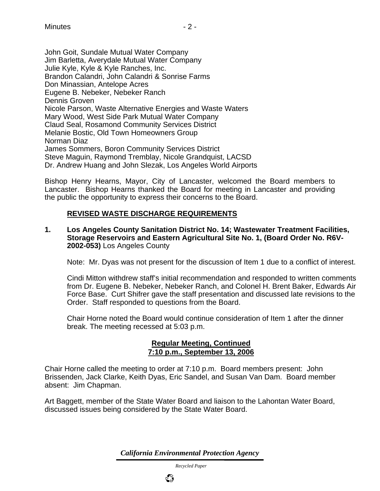John Goit, Sundale Mutual Water Company Jim Barletta, Averydale Mutual Water Company Julie Kyle, Kyle & Kyle Ranches, Inc. Brandon Calandri, John Calandri & Sonrise Farms Don Minassian, Antelope Acres Eugene B. Nebeker, Nebeker Ranch Dennis Groven Nicole Parson, Waste Alternative Energies and Waste Waters Mary Wood, West Side Park Mutual Water Company Claud Seal, Rosamond Community Services District Melanie Bostic, Old Town Homeowners Group Norman Diaz James Sommers, Boron Community Services District Steve Maguin, Raymond Tremblay, Nicole Grandquist, LACSD Dr. Andrew Huang and John Slezak, Los Angeles World Airports

Bishop Henry Hearns, Mayor, City of Lancaster, welcomed the Board members to Lancaster. Bishop Hearns thanked the Board for meeting in Lancaster and providing the public the opportunity to express their concerns to the Board.

#### **REVISED WASTE DISCHARGE REQUIREMENTS**

#### **1. Los Angeles County Sanitation District No. 14; Wastewater Treatment Facilities, Storage Reservoirs and Eastern Agricultural Site No. 1, (Board Order No. R6V-2002-053)** Los Angeles County

Note: Mr. Dyas was not present for the discussion of Item 1 due to a conflict of interest.

Cindi Mitton withdrew staff's initial recommendation and responded to written comments from Dr. Eugene B. Nebeker, Nebeker Ranch, and Colonel H. Brent Baker, Edwards Air Force Base. Curt Shifrer gave the staff presentation and discussed late revisions to the Order. Staff responded to questions from the Board.

Chair Horne noted the Board would continue consideration of Item 1 after the dinner break. The meeting recessed at 5:03 p.m.

#### **Regular Meeting, Continued 7:10 p.m., September 13, 2006**

Chair Horne called the meeting to order at 7:10 p.m. Board members present: John Brissenden, Jack Clarke, Keith Dyas, Eric Sandel, and Susan Van Dam. Board member absent: Jim Chapman.

Art Baggett, member of the State Water Board and liaison to the Lahontan Water Board, discussed issues being considered by the State Water Board.

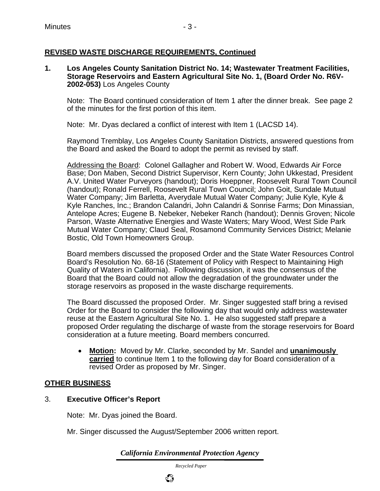### **REVISED WASTE DISCHARGE REQUIREMENTS, Continued**

#### **1. Los Angeles County Sanitation District No. 14; Wastewater Treatment Facilities, Storage Reservoirs and Eastern Agricultural Site No. 1, (Board Order No. R6V-2002-053)** Los Angeles County

Note: The Board continued consideration of Item 1 after the dinner break. See page 2 of the minutes for the first portion of this item.

Note: Mr. Dyas declared a conflict of interest with Item 1 (LACSD 14).

Raymond Tremblay, Los Angeles County Sanitation Districts, answered questions from the Board and asked the Board to adopt the permit as revised by staff.

Addressing the Board: Colonel Gallagher and Robert W. Wood, Edwards Air Force Base; Don Maben, Second District Supervisor, Kern County; John Ukkestad, President A.V. United Water Purveyors (handout); Doris Hoeppner, Roosevelt Rural Town Council (handout); Ronald Ferrell, Roosevelt Rural Town Council; John Goit, Sundale Mutual Water Company; Jim Barletta, Averydale Mutual Water Company; Julie Kyle, Kyle & Kyle Ranches, Inc.; Brandon Calandri, John Calandri & Sonrise Farms; Don Minassian, Antelope Acres; Eugene B. Nebeker, Nebeker Ranch (handout); Dennis Groven; Nicole Parson, Waste Alternative Energies and Waste Waters; Mary Wood, West Side Park Mutual Water Company; Claud Seal, Rosamond Community Services District; Melanie Bostic, Old Town Homeowners Group.

Board members discussed the proposed Order and the State Water Resources Control Board's Resolution No. 68-16 (Statement of Policy with Respect to Maintaining High Quality of Waters in California). Following discussion, it was the consensus of the Board that the Board could not allow the degradation of the groundwater under the storage reservoirs as proposed in the waste discharge requirements.

The Board discussed the proposed Order. Mr. Singer suggested staff bring a revised Order for the Board to consider the following day that would only address wastewater reuse at the Eastern Agricultural Site No. 1. He also suggested staff prepare a proposed Order regulating the discharge of waste from the storage reservoirs for Board consideration at a future meeting. Board members concurred.

• **Motion:** Moved by Mr. Clarke, seconded by Mr. Sandel and **unanimously carried** to continue Item 1 to the following day for Board consideration of a revised Order as proposed by Mr. Singer.

#### **OTHER BUSINESS**

#### 3. **Executive Officer's Report**

Note: Mr. Dyas joined the Board.

Mr. Singer discussed the August/September 2006 written report.

*California Environmental Protection Agency*

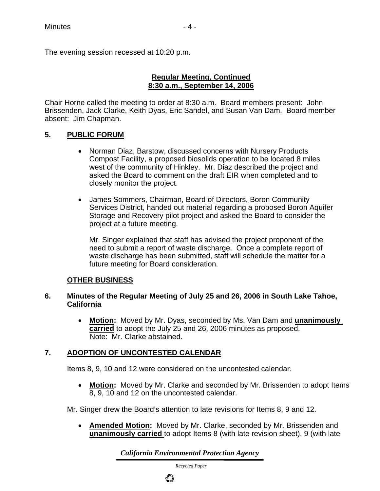The evening session recessed at 10:20 p.m.

#### **Regular Meeting, Continued 8:30 a.m., September 14, 2006**

Chair Horne called the meeting to order at 8:30 a.m. Board members present: John Brissenden, Jack Clarke, Keith Dyas, Eric Sandel, and Susan Van Dam. Board member absent: Jim Chapman.

#### **5. PUBLIC FORUM**

- Norman Diaz, Barstow, discussed concerns with Nursery Products Compost Facility, a proposed biosolids operation to be located 8 miles west of the community of Hinkley. Mr. Diaz described the project and asked the Board to comment on the draft EIR when completed and to closely monitor the project.
- James Sommers, Chairman, Board of Directors, Boron Community Services District, handed out material regarding a proposed Boron Aquifer Storage and Recovery pilot project and asked the Board to consider the project at a future meeting.

Mr. Singer explained that staff has advised the project proponent of the need to submit a report of waste discharge. Once a complete report of waste discharge has been submitted, staff will schedule the matter for a future meeting for Board consideration.

#### **OTHER BUSINESS**

#### **6. Minutes of the Regular Meeting of July 25 and 26, 2006 in South Lake Tahoe, California**

• **Motion:** Moved by Mr. Dyas, seconded by Ms. Van Dam and **unanimously carried** to adopt the July 25 and 26, 2006 minutes as proposed. Note: Mr. Clarke abstained.

### **7. ADOPTION OF UNCONTESTED CALENDAR**

Items 8, 9, 10 and 12 were considered on the uncontested calendar.

• **Motion:** Moved by Mr. Clarke and seconded by Mr. Brissenden to adopt Items 8, 9, 10 and 12 on the uncontested calendar.

Mr. Singer drew the Board's attention to late revisions for Items 8, 9 and 12.

• **Amended Motion:** Moved by Mr. Clarke, seconded by Mr. Brissenden and **unanimously carried** to adopt Items 8 (with late revision sheet), 9 (with late

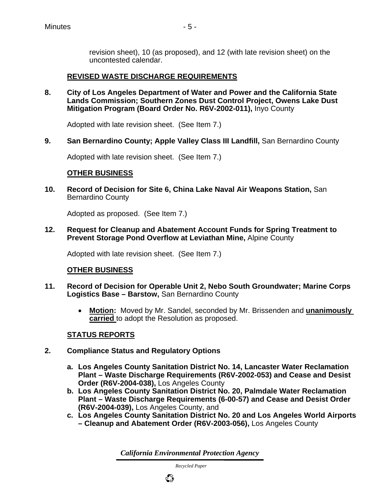revision sheet), 10 (as proposed), and 12 (with late revision sheet) on the uncontested calendar.

#### **REVISED WASTE DISCHARGE REQUIREMENTS**

**8. City of Los Angeles Department of Water and Power and the California State Lands Commission; Southern Zones Dust Control Project, Owens Lake Dust Mitigation Program (Board Order No. R6V-2002-011),** Inyo County

Adopted with late revision sheet. (See Item 7.)

**9. San Bernardino County; Apple Valley Class III Landfill, San Bernardino County** 

Adopted with late revision sheet. (See Item 7.)

#### **OTHER BUSINESS**

**10. Record of Decision for Site 6, China Lake Naval Air Weapons Station,** San Bernardino County

Adopted as proposed. (See Item 7.)

**12. Request for Cleanup and Abatement Account Funds for Spring Treatment to Prevent Storage Pond Overflow at Leviathan Mine,** Alpine County

Adopted with late revision sheet. (See Item 7.)

#### **OTHER BUSINESS**

- **11. Record of Decision for Operable Unit 2, Nebo South Groundwater; Marine Corps Logistics Base – Barstow,** San Bernardino County
	- **Motion:** Moved by Mr. Sandel, seconded by Mr. Brissenden and **unanimously carried** to adopt the Resolution as proposed.

#### **STATUS REPORTS**

- **2. Compliance Status and Regulatory Options**
	- **a. Los Angeles County Sanitation District No. 14, Lancaster Water Reclamation Plant – Waste Discharge Requirements (R6V-2002-053) and Cease and Desist Order (R6V-2004-038),** Los Angeles County
	- **b. Los Angeles County Sanitation District No. 20, Palmdale Water Reclamation Plant – Waste Discharge Requirements (6-00-57) and Cease and Desist Order (R6V-2004-039),** Los Angeles County, and
	- **c. Los Angeles County Sanitation District No. 20 and Los Angeles World Airports – Cleanup and Abatement Order (R6V-2003-056),** Los Angeles County

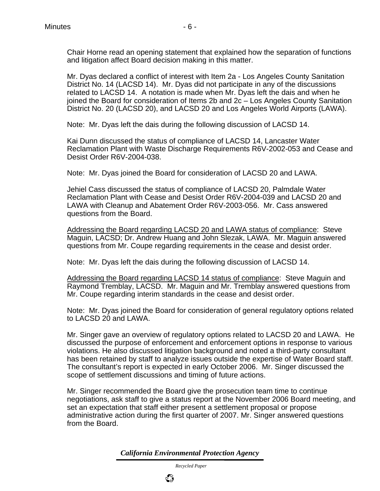Mr. Dyas declared a conflict of interest with Item 2a - Los Angeles County Sanitation District No. 14 (LACSD 14). Mr. Dyas did not participate in any of the discussions related to LACSD 14. A notation is made when Mr. Dyas left the dais and when he joined the Board for consideration of Items 2b and 2c – Los Angeles County Sanitation District No. 20 (LACSD 20), and LACSD 20 and Los Angeles World Airports (LAWA).

Note: Mr. Dyas left the dais during the following discussion of LACSD 14.

Kai Dunn discussed the status of compliance of LACSD 14, Lancaster Water Reclamation Plant with Waste Discharge Requirements R6V-2002-053 and Cease and Desist Order R6V-2004-038.

Note: Mr. Dyas joined the Board for consideration of LACSD 20 and LAWA.

Jehiel Cass discussed the status of compliance of LACSD 20, Palmdale Water Reclamation Plant with Cease and Desist Order R6V-2004-039 and LACSD 20 and LAWA with Cleanup and Abatement Order R6V-2003-056. Mr. Cass answered questions from the Board.

Addressing the Board regarding LACSD 20 and LAWA status of compliance: Steve Maguin, LACSD; Dr. Andrew Huang and John Slezak, LAWA. Mr. Maguin answered questions from Mr. Coupe regarding requirements in the cease and desist order.

Note: Mr. Dyas left the dais during the following discussion of LACSD 14.

Addressing the Board regarding LACSD 14 status of compliance: Steve Maguin and Raymond Tremblay, LACSD. Mr. Maguin and Mr. Tremblay answered questions from Mr. Coupe regarding interim standards in the cease and desist order.

Note: Mr. Dyas joined the Board for consideration of general regulatory options related to LACSD 20 and LAWA.

Mr. Singer gave an overview of regulatory options related to LACSD 20 and LAWA. He discussed the purpose of enforcement and enforcement options in response to various violations. He also discussed litigation background and noted a third-party consultant has been retained by staff to analyze issues outside the expertise of Water Board staff. The consultant's report is expected in early October 2006. Mr. Singer discussed the scope of settlement discussions and timing of future actions.

Mr. Singer recommended the Board give the prosecution team time to continue negotiations, ask staff to give a status report at the November 2006 Board meeting, and set an expectation that staff either present a settlement proposal or propose administrative action during the first quarter of 2007. Mr. Singer answered questions from the Board.

*California Environmental Protection Agency*

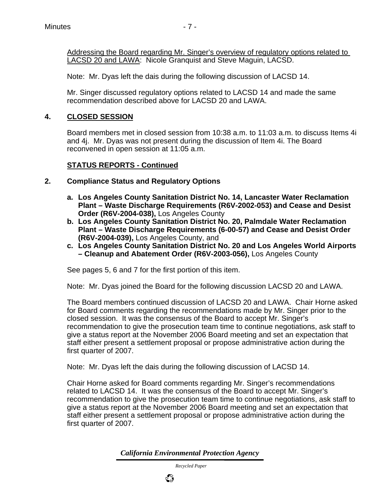Addressing the Board regarding Mr. Singer's overview of regulatory options related to LACSD 20 and LAWA: Nicole Granquist and Steve Maguin, LACSD.

Note: Mr. Dyas left the dais during the following discussion of LACSD 14.

Mr. Singer discussed regulatory options related to LACSD 14 and made the same recommendation described above for LACSD 20 and LAWA.

#### **4. CLOSED SESSION**

Board members met in closed session from 10:38 a.m. to 11:03 a.m. to discuss Items 4i and 4j. Mr. Dyas was not present during the discussion of Item 4i. The Board reconvened in open session at 11:05 a.m.

#### **STATUS REPORTS - Continued**

- **2. Compliance Status and Regulatory Options**
	- **a. Los Angeles County Sanitation District No. 14, Lancaster Water Reclamation Plant – Waste Discharge Requirements (R6V-2002-053) and Cease and Desist Order (R6V-2004-038),** Los Angeles County
	- **b. Los Angeles County Sanitation District No. 20, Palmdale Water Reclamation Plant – Waste Discharge Requirements (6-00-57) and Cease and Desist Order (R6V-2004-039),** Los Angeles County, and
	- **c. Los Angeles County Sanitation District No. 20 and Los Angeles World Airports – Cleanup and Abatement Order (R6V-2003-056),** Los Angeles County

See pages 5, 6 and 7 for the first portion of this item.

Note: Mr. Dyas joined the Board for the following discussion LACSD 20 and LAWA.

The Board members continued discussion of LACSD 20 and LAWA. Chair Horne asked for Board comments regarding the recommendations made by Mr. Singer prior to the closed session. It was the consensus of the Board to accept Mr. Singer's recommendation to give the prosecution team time to continue negotiations, ask staff to give a status report at the November 2006 Board meeting and set an expectation that staff either present a settlement proposal or propose administrative action during the first quarter of 2007.

Note: Mr. Dyas left the dais during the following discussion of LACSD 14.

Chair Horne asked for Board comments regarding Mr. Singer's recommendations related to LACSD 14. It was the consensus of the Board to accept Mr. Singer's recommendation to give the prosecution team time to continue negotiations, ask staff to give a status report at the November 2006 Board meeting and set an expectation that staff either present a settlement proposal or propose administrative action during the first quarter of 2007.

*California Environmental Protection Agency*

 *Recycled Paper*

९५

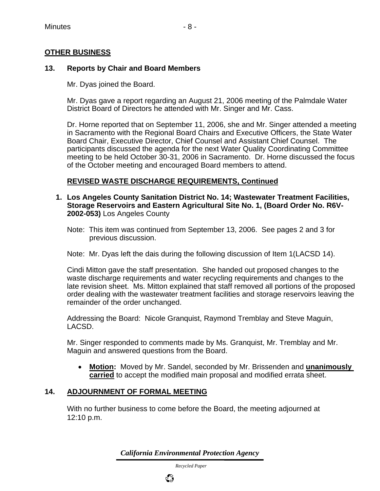#### **OTHER BUSINESS**

#### **13. Reports by Chair and Board Members**

Mr. Dyas joined the Board.

Mr. Dyas gave a report regarding an August 21, 2006 meeting of the Palmdale Water District Board of Directors he attended with Mr. Singer and Mr. Cass.

Dr. Horne reported that on September 11, 2006, she and Mr. Singer attended a meeting in Sacramento with the Regional Board Chairs and Executive Officers, the State Water Board Chair, Executive Director, Chief Counsel and Assistant Chief Counsel. The participants discussed the agenda for the next Water Quality Coordinating Committee meeting to be held October 30-31, 2006 in Sacramento. Dr. Horne discussed the focus of the October meeting and encouraged Board members to attend.

#### **REVISED WASTE DISCHARGE REQUIREMENTS, Continued**

- **1. Los Angeles County Sanitation District No. 14; Wastewater Treatment Facilities, Storage Reservoirs and Eastern Agricultural Site No. 1, (Board Order No. R6V-2002-053)** Los Angeles County
	- Note: This item was continued from September 13, 2006. See pages 2 and 3 for previous discussion.

Note: Mr. Dyas left the dais during the following discussion of Item 1(LACSD 14).

Cindi Mitton gave the staff presentation. She handed out proposed changes to the waste discharge requirements and water recycling requirements and changes to the late revision sheet. Ms. Mitton explained that staff removed all portions of the proposed order dealing with the wastewater treatment facilities and storage reservoirs leaving the remainder of the order unchanged.

Addressing the Board: Nicole Granquist, Raymond Tremblay and Steve Maguin, LACSD.

Mr. Singer responded to comments made by Ms. Granquist, Mr. Tremblay and Mr. Maguin and answered questions from the Board.

• **Motion:** Moved by Mr. Sandel, seconded by Mr. Brissenden and **unanimously carried** to accept the modified main proposal and modified errata sheet.

#### **14. ADJOURNMENT OF FORMAL MEETING**

With no further business to come before the Board, the meeting adjourned at 12:10 p.m.